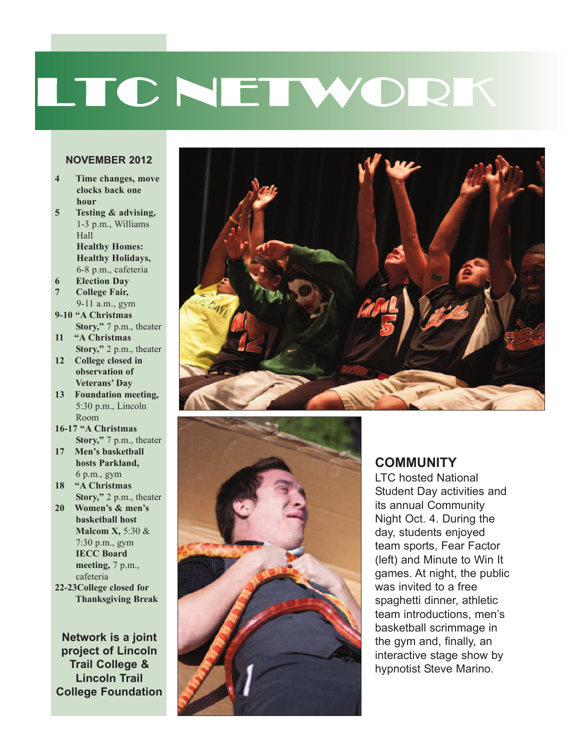# LTC NETWORK

#### **NOVEMBER 2012**

- **4 Time changes, move clocks back one hour**
- **5 Testing & advising,** 1-3 p.m., Williams Hall **Healthy Homes: Healthy Holidays,**
- 6-8 p.m., cafeteria **6 Election Day**
- **7 College Fair,** 9-11 a.m., gym
- **9-10 "A Christmas Story,"** 7 p.m., theater
- **11 "A Christmas**
- **Story,"** 2 p.m., theater **12 College closed in observation of**
- **Veterans' Day 13 Foundation meeting,**
- 5:30 p.m., Lincoln Room **16-17 "A Christmas**
- **Story,"** 7 p.m., theater
- **17 Men's basketball hosts Parkland,** 6 p.m., gym
- **18 "A Christmas Story,"** 2 p.m., theater
- **20 Women's & men's basketball host Malcom X,** 5:30 & 7:30 p.m., gym **IECC Board meeting,** 7 p.m., cafeteria
- **22-23College closed for Thanksgiving Break**

**Network is a joint project of Lincoln Trail college & Lincoln Trail college Foundation**





#### **cOMMUNITY**

LTC hosted National Student Day activities and its annual Community Night Oct. 4. During the day, students enjoyed team sports, Fear Factor (left) and Minute to Win It games. At night, the public was invited to a free spaghetti dinner, athletic team introductions, men's basketball scrimmage in the gym and, finally, an interactive stage show by hypnotist Steve Marino.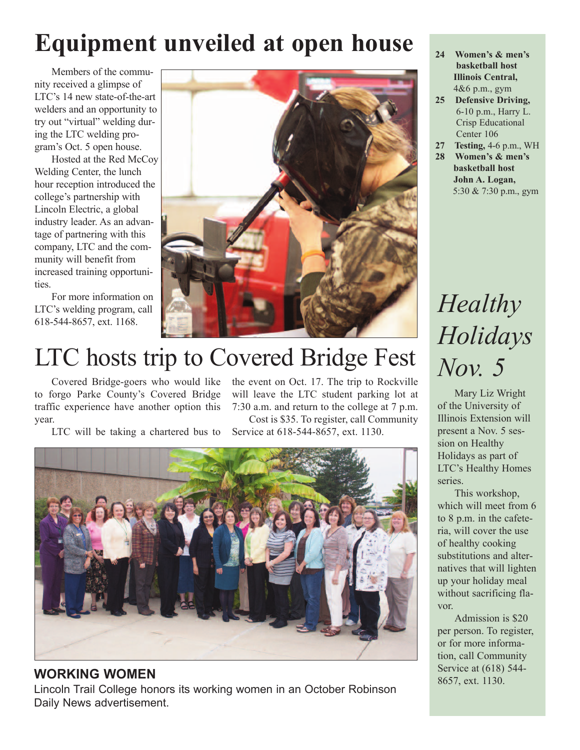#### Equipment unveiled at open house  $\frac{1}{24}$  **Women's & men's**

Members of the community received a glimpse of LTC's 14 new state-of-the-art welders and an opportunity to try out "virtual" welding during the LTC welding program's Oct. 5 open house.

Hosted at the Red McCoy Welding Center, the lunch hour reception introduced the college's partnership with Lincoln Electric, a global industry leader. As an advantage of partnering with this company, LTC and the community will benefit from increased training opportunities.

For more information on LTC's welding program, call 618-544-8657, ext. 1168.



### LTC hosts trip to Covered Bridge Fest

Covered Bridge-goers who would like to forgo Parke County's Covered Bridge traffic experience have another option this year.

LTC will be taking a chartered bus to

the event on Oct. 17. The trip to Rockville will leave the LTC student parking lot at 7:30 a.m. and return to the college at 7 p.m. Cost is \$35. To register, call Community

Service at 618-544-8657, ext. 1130.



Lincoln Trail College honors its working women in an October Robinson Daily News advertisement.

- **basketball host Illinois Central,** 4&6 p.m., gym
- **25 Defensive Driving,** 6-10 p.m., Harry L. Crisp Educational Center 106
- **27 Testing,** 4-6 p.m., WH
- **28 Women's & men's basketball host John A. Logan,** 5:30 & 7:30 p.m., gym

## *Healthy Holidays Nov. 5*

Mary Liz Wright of the University of Illinois Extension will present a Nov. 5 session on Healthy Holidays as part of LTC's Healthy Homes series.

This workshop, which will meet from 6 to 8 p.m. in the cafeteria, will cover the use of healthy cooking substitutions and alternatives that will lighten up your holiday meal without sacrificing flavor.

Admission is \$20 per person. To register, or for more information, call Community **WORKING WOMEN** Service at (618) 544-<br>
8657, ext. 1130.